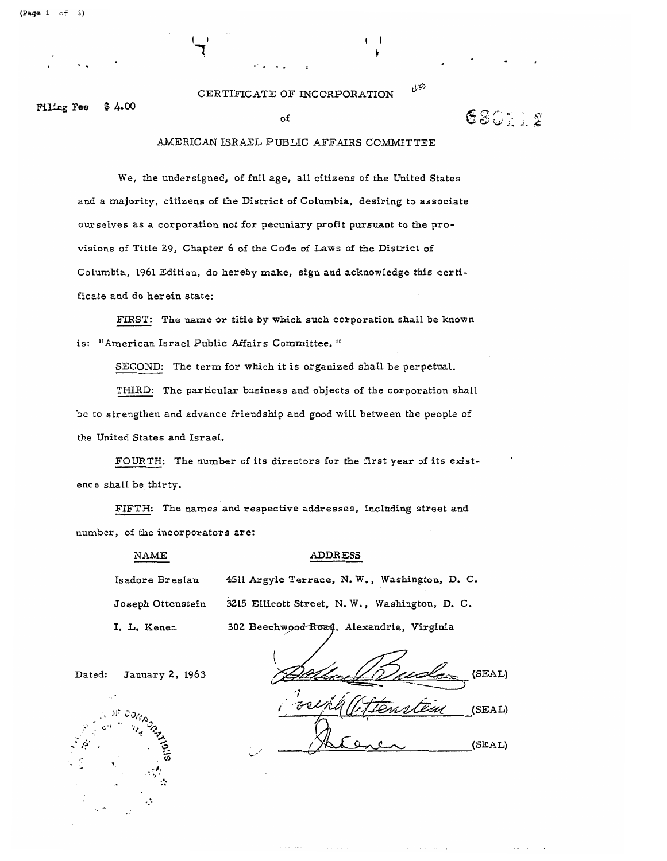USO CERTIFICATE OF INCORPORATION

 $$4.00$ **Filing Fee** 

# of

 $630112$ 

### AMERICAN ISRAEL PUBLIC AFFAIRS COMMITTEE

We, the undersigned, of full age, all citizens of the United States and a majority, citizens of the District of Columbia, desiring to associate our selves as a corporation not for pecuniary profit pursuant to the provisions of Title 29, Chapter 6 of the Code of Laws of the District of Columbia, 1961 Edition, do hereby make, sign and acknowledge this certificate and do herein state:

FIRST: The name or title by which such corporation shall be known is: "American Israel Public Affairs Committee."

SECOND: The term for which it is organized shall be perpetual.

THIRD: The particular business and objects of the corporation shall be to strengthen and advance friendship and good will between the people of the United States and Israel.

FOURTH: The number of its directors for the first year of its existence shall be thirty.

FIFTH: The names and respective addresses, including street and number, of the incorporators are:

#### NAME

#### ADDRESS

Isadore Breslau 4511 Argyle Terrace, N.W., Washington, D. C. Joseph Ottenstein 3215 Ellicott Street, N.W., Washington, D. C. I. L. Kenen

302 Beechwood Road, Alexandria, Virginia

Dated: January 2, 1963

(SEAL)  $(SEAL)$ (SEAL)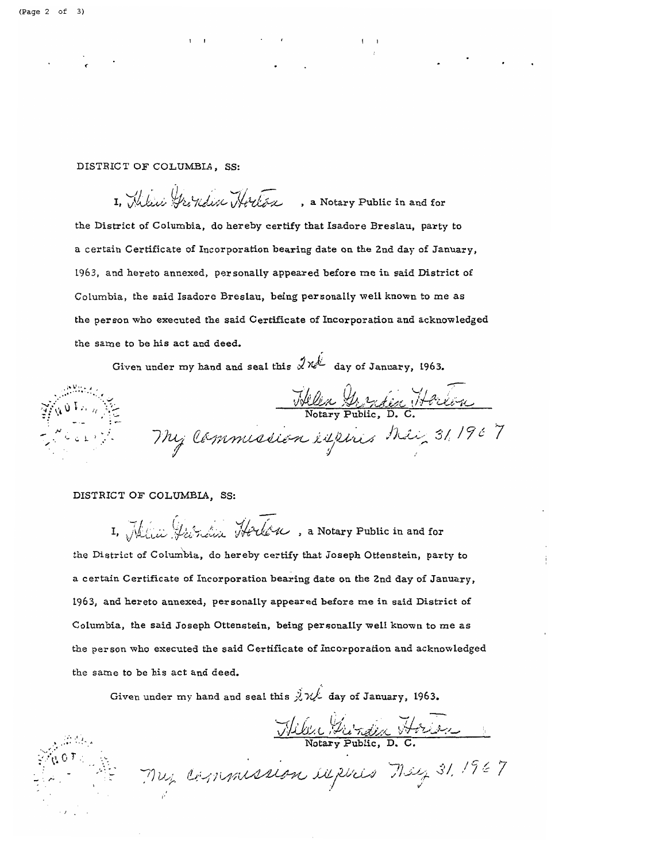DISTRICT OF COLUMBIA, SS:

I, Milici Grondin Horton , a Notary Public in and for the District of Columbia, do hereby certify that Isadore Breslau, party to a certain Certificate of Incorporation bearing date on the 2nd day of January, 1963, and hereto annexed, personally appeared before me in said District of Columbia, the said Isadore Breslau, being personally well known to me as the person who executed the said Certificate of Incorporation and acknowledged the same to be his act and deed.

Given under my hand and seal this  $\hat{x}$   $\hat{y}$  day of January, 1963.

Helen Grandin Harton My Commission expires their 31, 1967

#### DISTRICT OF COLUMBIA, SS:

I. Milia Varian Hocken, a Notary Public in and for the District of Columbia, do hereby certify that Joseph Ottenstein, party to a certain Certificate of Incorporation bearing date on the 2nd day of January, 1963, and hereto annexed, personally appeared before me in said District of Columbia, the said Joseph Ottenstein, being personally well known to me as the person who executed the said Certificate of Incorporation and acknowledged the same to be his act and deed.

Given under my hand and seal this  $\hat{\vec{X}}\mathcal{W}$  day of January, 1963.

Wiles Mirden Horien

Muz Commission explices May 31, 1967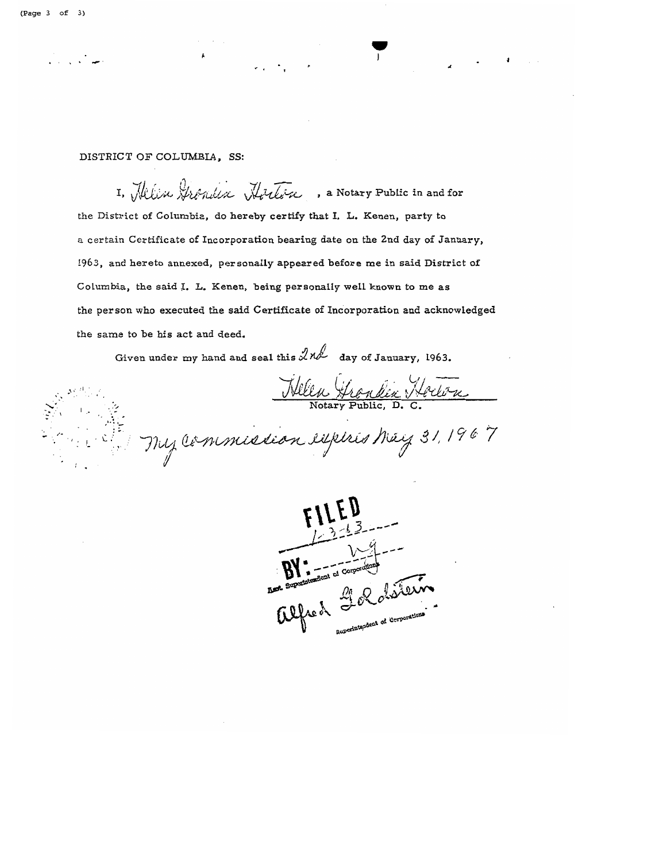## DISTRICT OF COLUMBIA, SS:

I, Milisu Grondin Horton , a Notary Public in and for the District of Columbia, do hereby certify that I. L. Kenen, party to a certain Certificate of Incorporation bearing date on the 2nd day of January, 1963, and hereto annexed, personally appeared before me in said District of Columbia, the said I. L. Kenen, being personally well known to me as the person who executed the said Certificate of Incorporation and acknowledged the same to be his act and deed.

Given under my hand and seal this  $2nd$  day of January, 1963.

Wellen Grondin Hockon

• J

 $\begin{array}{ccc} \text{Notary Public, D. C.} \\ \hline \end{array}$  $\mathcal{L} \subseteq \mathbb{R}^{|\mathcal{L}|}$